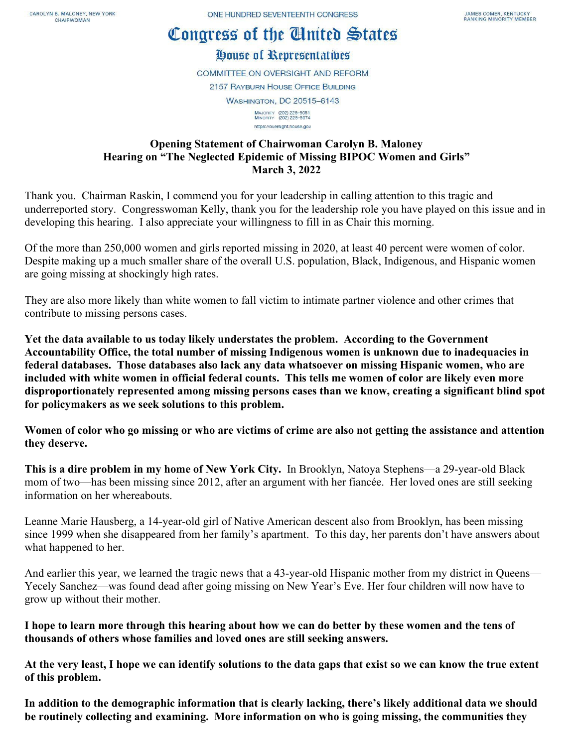# Congress of the Cluited States

## House of Representatives

**COMMITTEE ON OVERSIGHT AND REFORM 2157 RAYBURN HOUSE OFFICE BUILDING WASHINGTON, DC 20515-6143** MAJORITY (202) 225-5051<br>MINORITY (202) 225-5074

https://oversight.house.gov

#### **Opening Statement of Chairwoman Carolyn B. Maloney Hearing on "The Neglected Epidemic of Missing BIPOC Women and Girls" March 3, 2022**

Thank you. Chairman Raskin, I commend you for your leadership in calling attention to this tragic and underreported story. Congresswoman Kelly, thank you for the leadership role you have played on this issue and in developing this hearing. I also appreciate your willingness to fill in as Chair this morning.

Of the more than 250,000 women and girls reported missing in 2020, at least 40 percent were women of color. Despite making up a much smaller share of the overall U.S. population, Black, Indigenous, and Hispanic women are going missing at shockingly high rates.

They are also more likely than white women to fall victim to intimate partner violence and other crimes that contribute to missing persons cases.

**Yet the data available to us today likely understates the problem. According to the Government Accountability Office, the total number of missing Indigenous women is unknown due to inadequacies in federal databases. Those databases also lack any data whatsoever on missing Hispanic women, who are included with white women in official federal counts. This tells me women of color are likely even more disproportionately represented among missing persons cases than we know, creating a significant blind spot for policymakers as we seek solutions to this problem.**

**Women of color who go missing or who are victims of crime are also not getting the assistance and attention they deserve.** 

**This is a dire problem in my home of New York City.** In Brooklyn, Natoya Stephens—a 29-year-old Black mom of two—has been missing since 2012, after an argument with her fiancée. Her loved ones are still seeking information on her whereabouts.

Leanne Marie Hausberg, a 14-year-old girl of Native American descent also from Brooklyn, has been missing since 1999 when she disappeared from her family's apartment. To this day, her parents don't have answers about what happened to her.

And earlier this year, we learned the tragic news that a 43-year-old Hispanic mother from my district in Queens— Yecely Sanchez—was found dead after going missing on New Year's Eve. Her four children will now have to grow up without their mother.

**I hope to learn more through this hearing about how we can do better by these women and the tens of thousands of others whose families and loved ones are still seeking answers.** 

**At the very least, I hope we can identify solutions to the data gaps that exist so we can know the true extent of this problem.** 

**In addition to the demographic information that is clearly lacking, there's likely additional data we should be routinely collecting and examining. More information on who is going missing, the communities they**